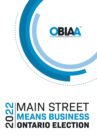

# **2022**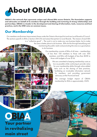<span id="page-1-0"></span>

**OBIAA is the network that represents unique and vibrant BIAs across Ontario. The Association supports and advocates on behalf of its members through the building and nurturing of strong relationships and partnerships. OBIAA is a leader in the development and sharing of information, tools, resources and best practices, and is the ONE voice on common issues.**

# **Our Membership**

Our members are Business Improvement Areas under the Ontario Municipal Act and are Local Boards of Council. The sections specific to BIAs is Section 204-216 and areas that pertain to Local Boards. The mission of each BIA is a "collective good" – The work is not to make any one business better, but to make

 $100<sub>1</sub>$ 

the area a better place to do business. BIAs do this through beautifying and maintaining the public realm and promoting the area as a good place to do business.

> Our membership consists of BIAs of all sizes – memberships of less than 100 members to those with over 500 members, and BIAs with budgets of less than \$20K to those with budgets of over \$1M.

> > We are committed to keeping membership costs as low as possible while continuing to provide value for your membership dollar through value added items such as the sharing of best practices, facilitating an invaluable information network for members, and providing government advocacy at the Provincial level.

The average budget impact of OBIAA membership for BIAs is approximately .024%



**Your partner in revitalizing main street**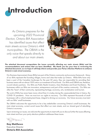<span id="page-2-0"></span>

*As Ontario prepares for the upcoming 2022 Provincial Election, Ontario BIA Association has identified issues that affect main streets across Ontario's 444 municipalities. The OBIAA is the only voice that speaks directly to and about our main streets.*



**The attached document encapsulates the issues currently affecting our main streets (BIAs) and the recommendations and actions that we have identified. We thank you for your time in reviewing the attached document, as we hope it will help inform and provide your Party's Election Platform to enhance Ontario's main street economy.**

Our Business Improvement Areas (BIAs) are part of the Ontario community and economy framework. Many of our BIAs represent the founding villages, towns and cities that make up Ontario. While BIAs have only been a part of the Canadian landscape for the past 50 years, they are responsible for providing their business areas with an almost 100% return on investment of local funds. Our BIAs and OBIAA are, therefore, crucial industry partners. Our BIAs are Public Realm Investors, Area Marketers and Event Facilitators. The businesses within our BIAs are innovators, entrepreneurs and part of the creative community. Our BIAs are often the 'heart' of their community, representing heritage, economy, arts, revitalization and tourism.

The work of BIAs has never been more critical than it is today during this unprecedented time in history, the COVID-19 pandemic. Now we must turn our sights to recovery. Our BIAs represent thousands of small businesses with a critical employment base, integral to driving our economy. Our future recovery must start with our BIAs' small businesses.

The OBIAA welcomes the opportunity to be a key stakeholder concerning Ontario's small businesses, the main street economy, current social issues that affect our main streets, and our shared goal of rebuilding Ontario's economy.

Upon reviewing our issues, we welcome the opportunity to meet with you to discuss further the issues affecting main street and how your party elections platform addresses these issues.

Tay Strauber

**Kay Matthews** Executive Director **Ontario BIA Association**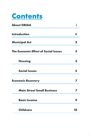

| <b>About OBIAA</b>                          |             |
|---------------------------------------------|-------------|
| <b>Introduction</b>                         | ii          |
| <b>Municipal Act</b>                        | $\mathbf 2$ |
| <b>The Economic Effect of Social Issues</b> | 3           |
| <b>Housing</b>                              | З           |
| <b>Social Issues</b>                        | 5           |
| <b>Economic Recovery</b>                    |             |
| <b>Main Street Small Business</b>           |             |
| <b>Basic Income</b>                         | 9           |
| <b>Childcare</b>                            | 10          |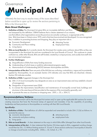## <span id="page-4-0"></span>*Governance*



*Ultimately the best way to resolve many of the issues described below would be to open up for review the sections pertaining to BIAs in the Municipal Act.* 

#### **Main Street Challenges:**

**1. Definition of BIAs:** The Municipal Act gives BIAs an incomplete definition and BIAs are hampered by this definition. OBIAA believes that a clearer statement of our mission, one that reflects what organizations across the province are actually working on, is appropriate at this time. BIAs have been in Ontario since 1970, and in that time have evolved and developed. It is now recognized that, in addition to promoting business and shopping, they play an important role in:

**a.** Economic Development

**b.** Community and Place-making

- **d.** Attracting Tourists
- **e.** Employment Hubs
- **c.** Living Space
- **2. BIAs as Local Boards:** As it currently stands, the Municipal Act creates some confusion about BIAs as they are incorporated in the Municipal Act and are considered to be Local Boards of Council. This continues to create confusion as, unlike other Boards, BIAs are self-funded, created by a unique process, and usually have staff who are not municipal employees.
- **3. Further Challenges:**
	- **a.** Disqualification of BIAs from many funding resources
	- **b.** Understanding of which taxes or publicly administered programs apply
	- **c.** Memorandums of Understanding (MOU) between Municipalities and BIAs
- **4. Interpretation of the Act:** There are parts of the MA that are confusing, contradictory, vague and inconsistently applied by Municipalities. As an example Section 214 indicates one way that BIAs are dissolved, whereas Section 216 indicates another.
- **5. Definition of BIA:** Suggested changes in the Municipal Act:
	- **a.** 204. (1) A local municipality may designate an area as an improvement area and may establish a board of management,
	- **b.** Designation of improvement area (204)
	- **c.** to oversee the improvement, beautification and maintenance of municipally-owned land, buildings and structures in the area beyond that provided at the expense of the municipality generally; and
	- **d.** to promote the area as a business or shopping area. 2001, c. 25, s. 204 (1).

#### **Recommendations/Actions:**

The Provincial Government call for the Municipal Act review and/or open up the applicable BIA sections for review creating resources that have the Provincial stamp of approval and mandate; it has the capability of providing leadership and best practices to Municipalities on working with their BIA Local Boards.

#### **Specifically:**

- **1. Definition of BIAs -** That definition of a BIA be expanded and amended to include 204. (1) (b) as follows: to promote the area as:
	- **a.** economic development
	- **b.** community and place-making
- **d.** attracting tourists
- **e.** employment hubs
- **c.** living space
- **2. BIAs as Local Boards -** A clear statement on the ways in which BIAs differ (diverge) from other local boards.
- **3. Interpretation of the Act -** A clear statement that Section 216 does apply to BIAs, suggested wording change would then be 216. (1) Without limiting sections 9, 10 and 11, those sections authorize a municipality to dissolve or change a local board, including BIAs. 2006, c. 32, Sched. A, s. 90.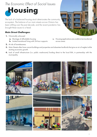# <span id="page-5-0"></span>**Housing**

*The lack of a balanced housing stock deteriorates the community ecosystem. The balance of our main streets across Ontario has been shifting over the past decade, and the recent pandemic has brought these issues to a head.* 

#### **Main Street Challenges:**

- **1.** Chronically unhoused
	- **a.** Shortage of affordable housing
	- **b.** Limited transitional living with 24-hour supports
- **2.** At risk of homelessness



**4.** Lack of small infrastructure (i.e. public washrooms) funding direct to the local BIA, in partnership with the municipality.





**c.** Housing applications are unable to be transferred

across areas

3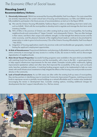# **Housing (cont.)**

#### **Recommendations/Actions:**

- **1. Chronically Unhoused:** OBIAA has reviewed the Housing Affordability Task Force Report. Our main street BIAs are severely impacted by the current critical lack of housing and homelessness; our BIAs and OBIAA must be fully enabled to participate in the future process of recommendations as laid out in the Report (#54).
	- **a.** We note the Ontario Housing Affordability Taskforce Report is silent on identifying short-term rental units, such as AirBnB. Work with the municipalities to develop tools to regulate and manage the short-term rental inventory/market.
	- **b.** 96% of BIAs in the province of Ontario are within existing built-up areas of municipalities, the founding neighbourhoods and communities of "Upper Canada" and subsequently Ontario. They are often heritage in their nature, and that is their unique and authentic strength, it is that strength that attracts tourism and the visitor economy, and this physical character of the neighbourhood needs to continue to be prioritized for preservation in order to grow its local economy (12a of the Ontario Housing Affordability Task Force Report - Feb 2022).
	- **c.** Integration of housing applications need to be province-wide and transferable per geography, instead of limiting the applicant's employment opportunities.
- **2. At Risk of Homelessness:** Proportional distribution and planning of affordable housing need to exist within the entire community to encourage (a) easy access to a variety of jobs, (b) access to transit, and (c) discourages stigmatisation of neighbourhoods.
- **3. Main Street Vacant Properties:** Successful funding programs were available in the past which provided BIAs with matching funds from both the province and the municipality, with a loan to the BIA - a grant-grant-loan, to help support infrastructure improvements for the main streets. Examples include public washrooms, lighting improvements (pedestrian safety) and other items that improved the accessibility of the area, such as bicycle racks, benches, parkettes and patios. A matching funding program needs to be implemented to help our main streets with small infrastructure investments to help mitigate the effects of the housing crisis and provide economic stimulus in the community.
- **4. Lack of Small Infrastructure:** As our BIA areas are often within the existing built-up areas of municipalities, they are key partners in identifying ways to incentivize Community Improvement Programs, matching provincial funds to repurpose vacant or partially vacant buildings as a ratioed affordable and/or market value residential, encouraging the review in development fees. Consider creating options, including additional charges for developments that don't support intensification (i.e., flat box stores).

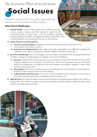<span id="page-7-0"></span>

*Before the onset of COVID-19, our Main Streets dealt with several social issues outside of a BIAs' mandate.* 

#### **Main Street Challenges:**

- **1. Mental Health:** A lack of street support has resulted in business owners, property owners, and BIAs needing to respond to the increasing number of street issues, such as vandalism, garbage, loitering, biohazards, graffiti, and negative community interactions. BIAs and Municipalities are currently the 'front-line' for Social Issues.
- **2. Safety Concerns and Perceptions:** 
	- **a. Concerns and Perceptions:** Negative community interactions create a real crisis on our "main streets" due to safety concerns.
	- **b.** Social Service Organizations: BIAs, often chronically understaffed, have difficulty navigating the multitude of social service organizations and their different mandates and priorities.
- **3. Security and Policing:** Due to our emergency services being overwhelmed, BIAs are going beyond their mandate, creating or funding programs to mitigate current social challenges .
	- **a. Security:** Variable levels of policing impact our main streets and many BIAs allocate a portion of their budget to additional security support. As the BIA levy comes from the property owners and business tenants, this budget item is causing BIAs to be cash strapped and unable to support or invest in their members or the public realm.
	- **b. Deescalation:** Many of our small businesses are left dealing with issues that they are not equipped to handle and often on the front line of unsafe situations.
	- **c. Judicial System and Processes:** The current "catch and release" policy becomes a vicious circle of criminality and policing becomes an ineffective level of visible service.
- **4. Opioid Crisis:** The number of deaths through opioid overdoses is multiplying exponentially with our BIAs at the epicentre. This results in a number of our business members and BIAs taking on additional roles to deal with the crises they experience daily.

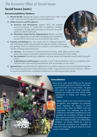### **Social Issues (cont.)**

#### **Recommendations/Actions:**

- **1. Mental Health:** Appropriate support would include more visible "on the street" and wrap-around support by trained professionals.
- **2. Safety Concerns and Perceptions:**
	- **a. Concerns and Perceptions:** Support BIAs with targeted provincial programs to enable BIAs to implement marketing campaigns to change safety perceptions and invest in the public spaces in order to hold events.
	- **b. Streamline Social Service Organizations:** Review of social service organizations to eliminate overlapping and contradictory services with focused wrap-around services for main streets.
- **3. Security and Policing:** Our main streets need an integrated approach with 'on the street' experts supporting them through de-escalation, biohazard and garbage clean up, increased police presence, and investment in lighting and place-making small infrastructure.
	- **a. Security:** Re-investment in community-based policing, while setting province-wide policy, that supports a more fully integrated and proactive approach to main streets.
	- **b. De-escalation:** Provide policy statements and more intense and integrated mental health training for police.
	- **c. Judicial System and Processes:** Cancel the current "Catch and Release" policy, by investments which will reduce the current backlog and break the cycle of criminality on main streets.
- **4. Opioid Crisis:** Increased funding for additional front-line staff providing resources and training that integrates 24-hr wrap-around services to reduce the burden on BIAs. Expand access to low barrier treatment. Declare an opioid crisis that focuses on proactive solutions such as reducing prescribed opioids.

#### **Consultation:**

Many of our main streets (BIAs) are the 'ground zero' for social issues due to a flawed and undersupported system on our main streets. "As goes main street, so goes the whole community," therefore our community cores must be active participants in finding and working with solutions.

OBIAA needs to be a part of the Provincial consultation and integration of community needs regarding the impacts of social issues on main street. As OBIAA is the only organization that addresses and has the needs of our main streets and BIAs as our core mandate, this consultation will help our local BIAs create a community of understanding, bilateral knowledge transfer and collaboration. Therefore, we request OBIAA be a part of the Provincial consultation and integration of community needs regarding the impacts of social issues on main streets.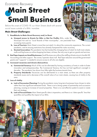# <span id="page-9-0"></span>*Economic Recovery*

# **Main Street Small Business**

*Before the onset of COVID-19, our Main Streets dealt with several social issues outside of a BIAs' mandate.* 

#### **Main Street Challenges:**

- **1. Roadblocks to Main Street Recovery and/or Reset**
	- **a. Unequal access to Grants for BIAs vs Not For Profits:** BIAs, under the Municipal Act and as "Local Boards of their municipality", are precluded from accessing many grants.
	- **b.** Loss of Tourism: Main Street is more than just retail; it is about the community experience. The current pandemic, and its ensuing restrictions has severely hampered the visitor economy.

**RING** 

- **c. Stunted Innovation:** This pandemic has fast tracked the changing face of retail, for both main streets, malls and big boxes as online shopping has been, at times, the only way to get our goods and services.
- **2. Red Tape Impacts on Small Businesses:** Small Business are without the staffing infrastructure to handle HR, Accounting and other support. The owner/operator does it all. Red Tape reduction around the government grants and "supports" is needed to ensure access to all who are eligible.
- **3. Increased vacancies and chronic disincentives**
	- **a. Commercial Tenancy:** Much of this can be alleviated by having consistency of rents in order to foster innovation and entrepreneurship. The Commercial Tenancy Act has not had significant oversight in decades. The pandemic has shown how little rights the business tenants have.
	- **b. Property Standards:** Vacancies can be detrimental to a main street, as there are often property standards issues and a decrease of the overall value of our main streets, causing loss of vitality to the area.
- **4. Loss of vitality**
	- **a. Lack of Succession Planning:** During the pandemic many long-term businesses have chosen to retire rather than lose significant retirement funds. There is not a strong system of partnership and succession planning, causing an increase of vacant properties. There is no cost-effective system to assist or create their exit strategy.
	- **b. Lack of Focused Data:** Main Street specific data is imperative, and there is no 'data-specific' lens that quantifies and qualifies the impact of our BIAs.

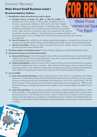## *Economic Recovery*

## **Main Street Small Business (cont.)**

#### **Recommendations/Actions:**

- **1. Roadblocks to Main Street Recovery and/or Reset**
	- **a. Unequal access to Grants for BIAs vs Not For Profits:** The **Store Front** Municipal Act, which pertains to BIAs, needs a thoughtful review in the future, as previously addressed. BIAs need to be made "eligible" ommercial Spa in criteria selection by removing barriers to receiving grants. Funding availability specifically to allow our BIAs to create smaller and more frequent For Rent events, create community connectivity, attract new entrepreneurs, fill vacancies and rebuild consumer confidence. Small Infrastructure investments will build on the existing ecosystem, such as a reinvigoration of Community Improvement Plans, with matching provincial funds.
	- **b. Loss of Tourism:** BIAs could be key at creating experiential packaging or a seasonal menu of events and activations through BIA specific funding, with identified partners (RTOs, Tourism, Municipal Departments).
	- **c. Stunted Innovation:** Creation of policy documents that provide strategic direction to municipalities prioritising the main streets and BIA areas.
- **2. Red Tape Impacts on Small Businesses:** Prioritise reducing, digitising and simplifying Red Tape burdens.
- **3. Increased vacancies and chronic disincentives**
	- **a. Commercial Tenancy:** Prioritise the expedient review of the Commercial Tenancy Act to balance the rights of the business tenants to the commercial property owner and to support the implementation of the AODA and the heritage nature of many of our main streets.
	- **b. Property Standards:** As above, the review of the Commercial Tenancy Act must provide clarity on property standards for blighted and chronic vacancies. Policy Statements that support and encourage Community Improvement Plans must be updated to include and encourage positive property standards, implementation of the AODA and supporting the nature of the community, while reducing neglect and dereliction.

#### **4. Loss of vitality**

- **a. Lack of Succession Planning:** Prioritise creating programs which match new entrepreneurs with retiring businesses. Provide funding to BIAs and Municipal Partners specifically aimed at filling vacancies, creating succession training, planning and matchmaking with entrepreneurs, such as the award winning "Win This Space" program. These programs would include micro-grants direct to new entrepreneurs. OBIAA is well positioned to design, package and implement the program through funding model(s) as invested in by the Province.
- **b. Lack of Focused Data:** Core investment is needed to maintain cost stability and affordability to our BIAs. Data would help us understand the state of Ontario's main street businesses, identify chronic vacancy areas, businesses that are in crisis (through social issues or other) or those who are looking towards succession planning. This data gathering, we anticipate, would help the Province understand and mitigate the effect of red tape on small businesses, while furthering the understanding of the economic impact of small businesses in Ontario.

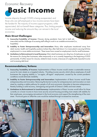# <span id="page-11-0"></span>*Economic Recovery*

# **Basic Income**

*Income disparity through COVID is being exasperated, and those who are self-employed or low-income earners have been the hardest hit. The majority of income support programs, while appreciated, did not benefit these categories. Thus, limiting people's income and reducing the amounts they can reinvest in the local economies.*

#### **Main Street Challenges:**

- **1. Insecurity/Instability of Income:** Closures during pandemic have led to both job insecurities and the challenge of accessing staff willing to work in an unstable environment (i.e., hospitality).
- **2. Inability to Foster Entrepreneurship and Innovation:** Many other employees transitioned away from retail, tourism, health and hospitality positions (where they often held down 2 or more jobs) to securing full-time employment in a more stable environment. These issues have caused an employment crisis for small businesses.
- **3. Limitations to Reinvestment in Local Economy:** Main street businesses are citing loss of employees as one of the reasons for closing their businesses, either temporarily or as is currently happening in the beginning of 2022 permanently. A further reason for closures, related to basic income, is because of a significantly impacted income and increasing debt level.

#### **Recommendations/Actions:**

- **1. Insecurity/Instability of Income:** Implementation of Basic Income would create a sustainable revenue source for main streets as a targeted industry. Providing income security which allows employees of small businesses the ongoing stability in "on-again, off-again" employment, caused by the current pandemic conditions would eliminate instability.
- **2. Inability to Foster Entrepreneurship and Innovation:** Implementation of Basic Income would foster entrepreneurship and innovation. Removing the barrier to entry for entrepreneurism and innovation on main street by creating a stable pathway for people of all socio-economic diversities to become entrepreneurs, thereby building a solid recovery, reimagining and growth of Ontario's SMEs and main streets.
- **3. Limitations to Reinvestment in Local Economy:** Implementation of Basic Income would allow for those currently on a lower income to have more security around housing providing main streets with stability for their employees, encouraging reinvestment in the local economy and support the strengthening of the main street. Provincial gains to offset the costs would be realised through increased tax revenues.



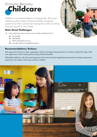<span id="page-12-0"></span>

*Childcare is an essential element in fostering jobs. The current childcare system creates a financial hardship, preventing parents (most often women) from entering the workforce, limiting economic growth for main streets.*

#### **Main Street Challenges:**

- **1.** A key element to the recovery must include childcare that is:
	- **a.** Accessible
	- **b.** Affordable
	- **c.** With expanded services
	- **d.** Includes safe and regulated spaces

#### **Recommendations/Actions:**



We support the Province in their negotiation with the Canadian Government for an Ontario-wide \$10-a-day child care agreement, without reducing the existing childcare benefits.

Affordable childcare, with enhanced expansion of services and safe/regulated spaces leads to stronger employment options for main streets, enhancing workforce stability